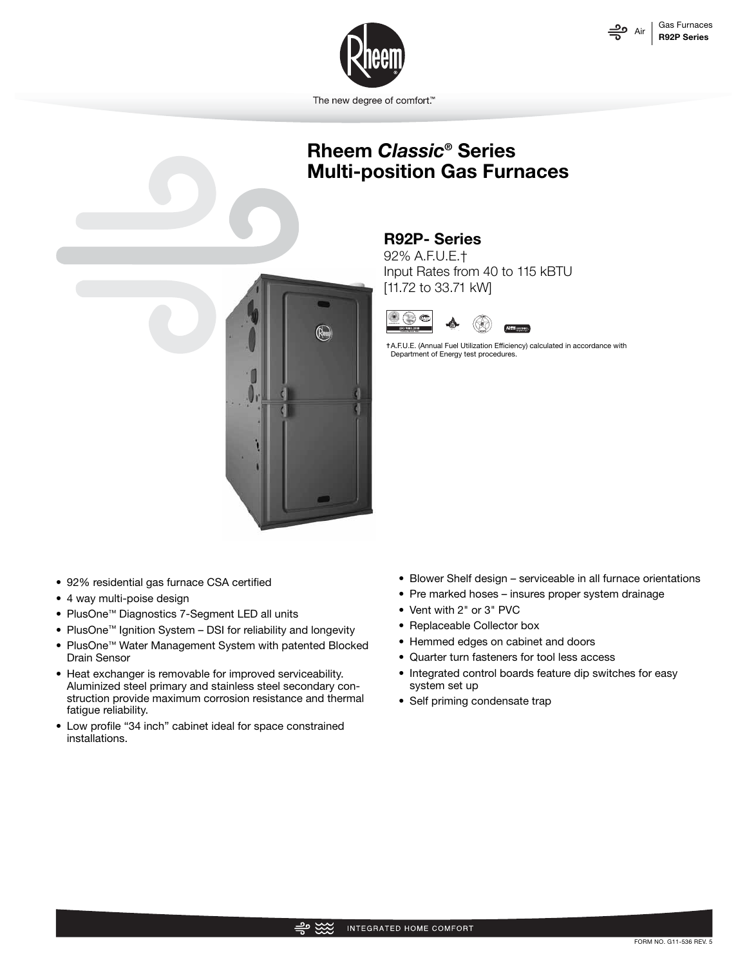

The new degree of comfort.™

# **Rheem** *Classic®* **Series Multi-position Gas Furnaces**



### **R92P- Series**

92% A.F.U.E.† Input Rates from 40 to 115 kBTU [11.72 to 33.71 kW]



✝A.F.U.E. (Annual Fuel Utilization Efficiency) calculated in accordance with Department of Energy test procedures.

- 92% residential gas furnace CSA certified
- 4 way multi-poise design
- PlusOne™ Diagnostics 7-Segment LED all units
- PlusOne™ Ignition System DSI for reliability and longevity
- PlusOne™ Water Management System with patented Blocked Drain Sensor
- Heat exchanger is removable for improved serviceability. Aluminized steel primary and stainless steel secondary construction provide maximum corrosion resistance and thermal fatigue reliability.
- Low profile "34 inch" cabinet ideal for space constrained installations.
- Blower Shelf design serviceable in all furnace orientations
- Pre marked hoses insures proper system drainage
- Vent with 2" or 3" PVC
- Replaceable Collector box
- Hemmed edges on cabinet and doors
- Quarter turn fasteners for tool less access
- Integrated control boards feature dip switches for easy system set up
- Self priming condensate trap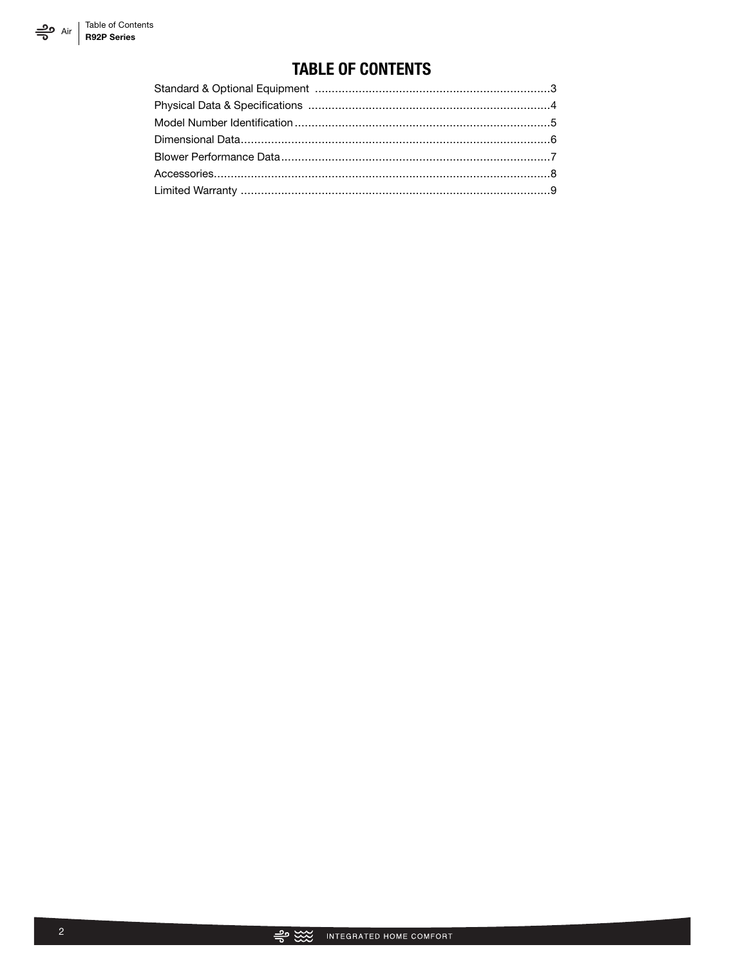## **TABLE OF CONTENTS**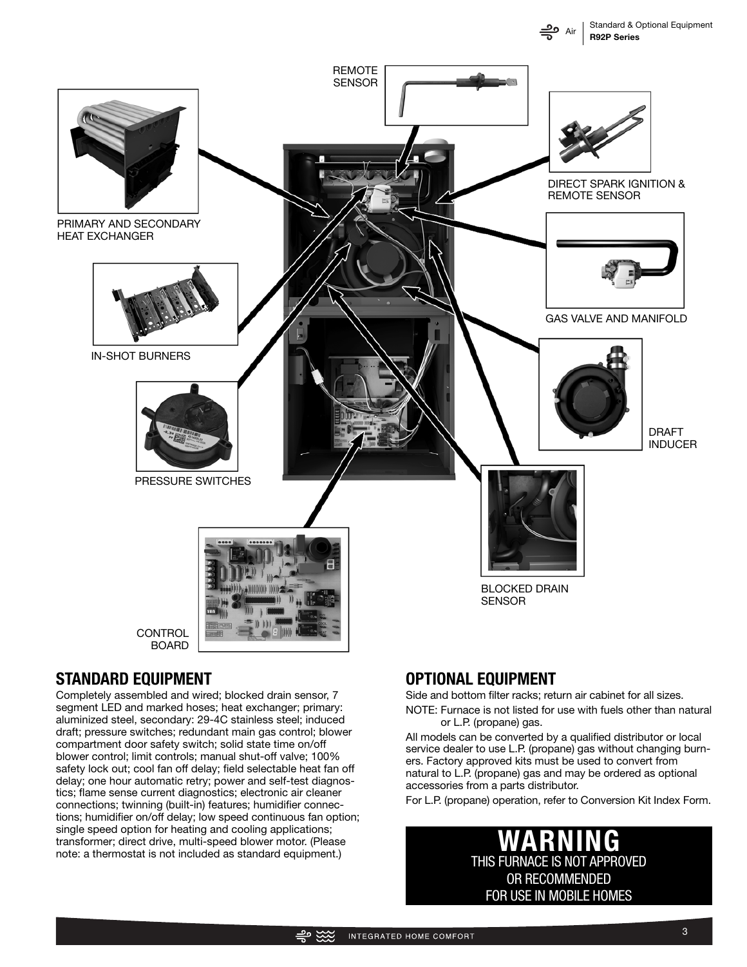

## **STANDARD EQUIPMENT**

Completely assembled and wired; blocked drain sensor, 7 segment LED and marked hoses; heat exchanger; primary: aluminized steel, secondary: 29-4C stainless steel; induced draft; pressure switches; redundant main gas control; blower compartment door safety switch; solid state time on/off blower control; limit controls; manual shut-off valve; 100% safety lock out; cool fan off delay; field selectable heat fan off delay; one hour automatic retry; power and self-test diagnostics; flame sense current diagnostics; electronic air cleaner connections; twinning (built-in) features; humidifier connections; humidifier on/off delay; low speed continuous fan option; single speed option for heating and cooling applications; transformer; direct drive, multi-speed blower motor. (Please note: a thermostat is not included as standard equipment.)

## **OPTIONAL EQUIPMENT**

Side and bottom filter racks; return air cabinet for all sizes.

NOTE: Furnace is not listed for use with fuels other than natural or L.P. (propane) gas.

All models can be converted by a qualified distributor or local service dealer to use L.P. (propane) gas without changing burners. Factory approved kits must be used to convert from natural to L.P. (propane) gas and may be ordered as optional accessories from a parts distributor.

For L.P. (propane) operation, refer to Conversion Kit Index Form.

## **WARNING** THIS FURNACE IS NOT APPROVED OR RECOMMENDED FOR USE IN MOBILE HOMES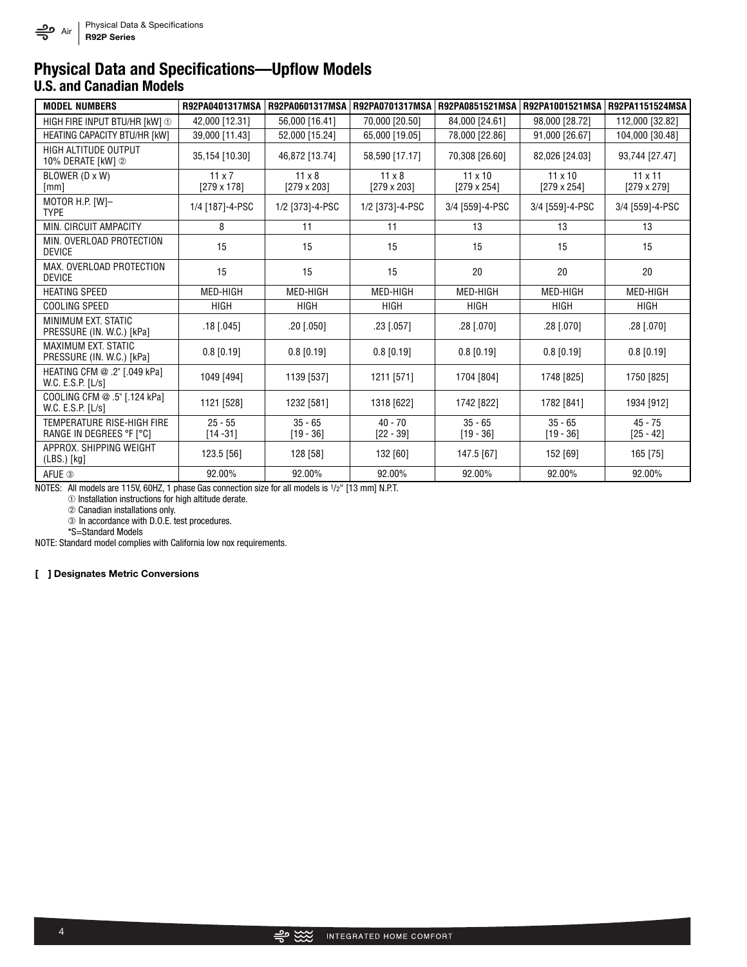### **Physical Data and Specifications—Upflow Models U.S. and Canadian Models**

| <b>MODEL NUMBERS</b>                                          | R92PA0401317MSA                     | R92PA0601317MSA   R92PA0701317MSA   |                                     | R92PA0851521MSA                      | R92PA1001521MSA                      | R92PA1151524MSA                      |
|---------------------------------------------------------------|-------------------------------------|-------------------------------------|-------------------------------------|--------------------------------------|--------------------------------------|--------------------------------------|
| HIGH FIRE INPUT BTU/HR [kW] 1                                 | 42,000 [12.31]                      | 56,000 [16.41]                      | 70,000 [20.50]                      | 84,000 [24.61]                       | 98,000 [28.72]                       | 112,000 [32.82]                      |
| <b>HEATING CAPACITY BTU/HR [kW]</b>                           | 39,000 [11.43]                      | 52,000 [15.24]                      | 65,000 [19.05]                      | 78,000 [22.86]                       | 91,000 [26.67]                       | 104,000 [30.48]                      |
| HIGH ALTITUDE OUTPUT<br>10% DERATE [kW] 2                     | 35,154 [10.30]                      | 46,872 [13.74]                      | 58,590 [17.17]                      | 70,308 [26.60]                       | 82,026 [24.03]                       | 93,744 [27.47]                       |
| BLOWER (D x W)<br>[mm]                                        | $11 \times 7$<br>$[279 \times 178]$ | $11 \times 8$<br>$[279 \times 203]$ | $11 \times 8$<br>$[279 \times 203]$ | $11 \times 10$<br>$[279 \times 254]$ | $11 \times 10$<br>$[279 \times 254]$ | $11 \times 11$<br>$[279 \times 279]$ |
| MOTOR H.P. [W]-<br><b>TYPE</b>                                | 1/4 [187]-4-PSC                     | 1/2 [373]-4-PSC                     | 1/2 [373]-4-PSC                     | 3/4 [559]-4-PSC                      | 3/4 [559]-4-PSC                      | 3/4 [559]-4-PSC                      |
| MIN. CIRCUIT AMPACITY                                         | 8                                   | 11                                  | 11                                  | 13                                   | 13                                   | 13                                   |
| MIN. OVERLOAD PROTECTION<br><b>DEVICE</b>                     | 15                                  | 15                                  | 15                                  | 15                                   | 15                                   | 15                                   |
| MAX. OVERLOAD PROTECTION<br><b>DEVICE</b>                     | 15                                  | 15                                  | 15                                  | 20                                   | 20                                   | 20                                   |
| <b>HEATING SPEED</b>                                          | MED-HIGH                            | MED-HIGH                            | MED-HIGH                            | MED-HIGH                             | MED-HIGH                             | MED-HIGH                             |
| COOLING SPEED                                                 | <b>HIGH</b>                         | <b>HIGH</b>                         | <b>HIGH</b>                         | <b>HIGH</b>                          | <b>HIGH</b>                          | <b>HIGH</b>                          |
| MINIMUM EXT. STATIC<br>PRESSURE (IN. W.C.) [kPa]              | $.18$ [.045]                        | $.20$ $[.050]$                      | .23 [.057]                          | .28 [.070]                           | .28 [.070]                           | .28 [.070]                           |
| <b>MAXIMUM EXT. STATIC</b><br>PRESSURE (IN. W.C.) [kPa]       | $0.8$ [0.19]                        | $0.8$ [0.19]                        | $0.8$ [0.19]                        | $0.8$ [0.19]                         | $0.8$ [0.19]                         | $0.8$ [0.19]                         |
| HEATING CFM @ .2" [.049 kPa]<br>W.C. E.S.P. [L/s]             | 1049 [494]                          | 1139 [537]                          | 1211 [571]                          | 1704 [804]                           | 1748 [825]                           | 1750 [825]                           |
| COOLING CFM @ .5" [.124 kPa]<br>W.C. E.S.P. [L/s]             | 1121 [528]                          | 1232 [581]                          | 1318 [622]                          | 1742 [822]                           | 1782 [841]                           | 1934 [912]                           |
| <b>TEMPERATURE RISE-HIGH FIRE</b><br>RANGE IN DEGREES °F [°C] | $25 - 55$<br>$[14 - 31]$            | $35 - 65$<br>$[19 - 36]$            | $40 - 70$<br>$[22 - 39]$            | $35 - 65$<br>$[19 - 36]$             | $35 - 65$<br>$[19 - 36]$             | $45 - 75$<br>$[25 - 42]$             |
| APPROX. SHIPPING WEIGHT<br>$(LBS.)$ [kg]                      | 123.5 [56]                          | 128 [58]                            | 132 [60]                            | 147.5 [67]                           | 152 [69]                             | 165 [75]                             |
| AFUE <sup>3</sup>                                             | 92.00%                              | 92.00%                              | 92.00%                              | 92.00%                               | 92.00%                               | 92.00%                               |

NOTES: All models are 115V, 60HZ, 1 phase Gas connection size for all models is 1/2" [13 mm] N.P.T.

➀ Installation instructions for high altitude derate.

➁ Canadian installations only.

➂ In accordance with D.O.E. test procedures.

\*S=Standard Models

NOTE: Standard model complies with California low nox requirements.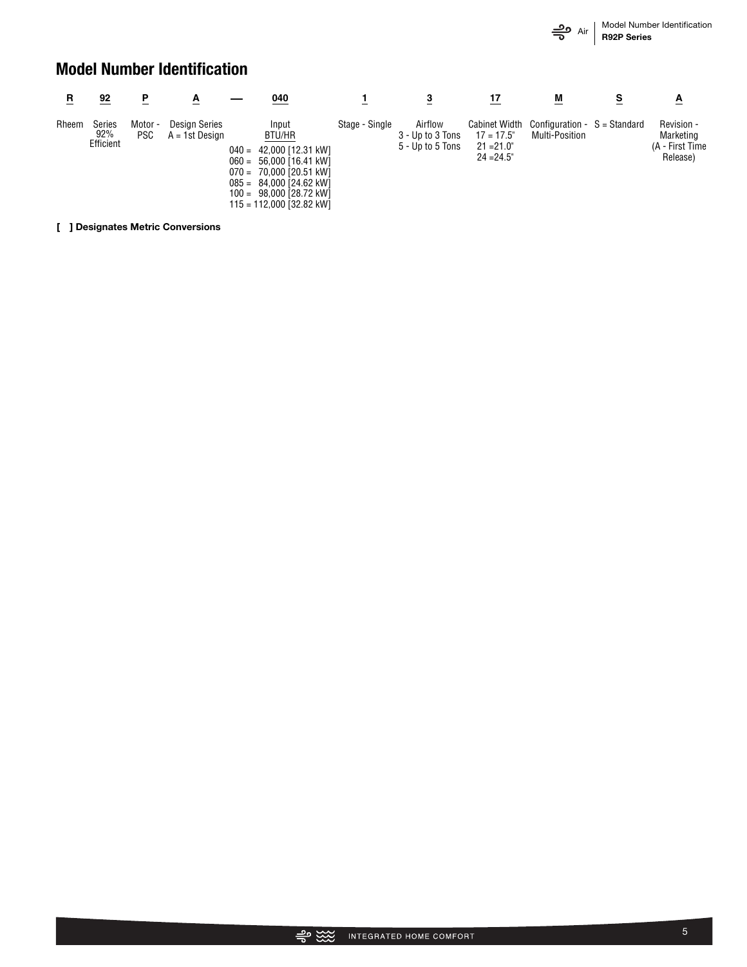# **Model Number Identification**

| R     | 92                         | Р                     | A                                        | 040                                                                                                                                                                                            |                | 3                                               | 17                                                                      | M                                                | s | A                                                      |
|-------|----------------------------|-----------------------|------------------------------------------|------------------------------------------------------------------------------------------------------------------------------------------------------------------------------------------------|----------------|-------------------------------------------------|-------------------------------------------------------------------------|--------------------------------------------------|---|--------------------------------------------------------|
| Rheem | Series<br>92%<br>Efficient | Motor -<br><b>PSC</b> | <b>Design Series</b><br>$A = 1st$ Desian | Input<br>BTU/HR<br>$040 = 42,000$ [12.31 kW]<br>$060 = 56,000$ [16.41 kW]<br>$070 = 70,000$ [20.51 kW]<br>$085 = 84,000$ [24.62 kW]<br>$100 = 98,000$ [28.72 kW]<br>$115 = 112,000$ [32.82 kW] | Stage - Single | Airflow<br>3 - Up to 3 Tons<br>5 - Up to 5 Tons | <b>Cabinet Width</b><br>$17 = 17.5$ "<br>$21 = 21.0$ "<br>$24 = 24.5$ " | Configuration - $S = Standard$<br>Multi-Position |   | Revision -<br>Marketing<br>(A - First Time<br>Release) |

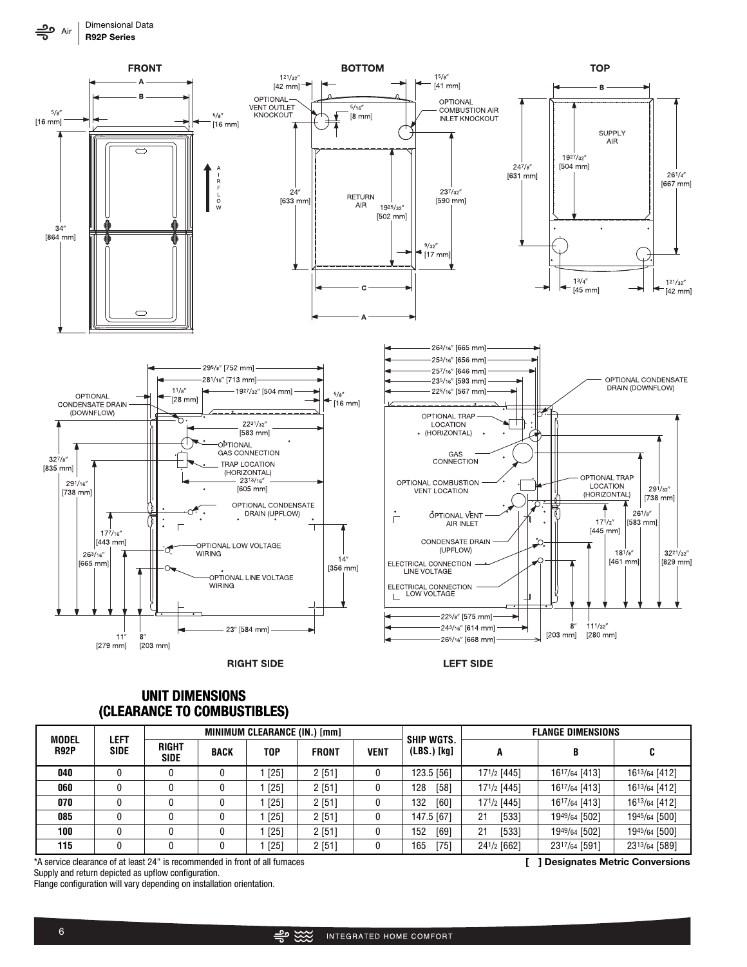

### **UNIT DIMENSIONS (CLEARANCE TO COMBUSTIBLES)**

| <b>MODEL</b> | LEFT |                             |             | MINIMUM CLEARANCE (IN.) [mm] |              |             | SHIP WGTS.  | <b>FLANGE DIMENSIONS</b> |               |               |  |
|--------------|------|-----------------------------|-------------|------------------------------|--------------|-------------|-------------|--------------------------|---------------|---------------|--|
| <b>R92P</b>  | SIDE | <b>RIGHT</b><br><b>SIDE</b> | <b>BACK</b> | TOP                          | <b>FRONT</b> | <b>VENT</b> | (LBS.) [kg] | A                        |               | C             |  |
| 040          |      | 0                           |             | [25]                         | 2[51]        |             | 123.5 [56]  | 171/2 [445]              | 1617/64 [413] | 1613/64 [412] |  |
| 060          |      |                             |             | [25]                         | 2[51]        |             | [58]<br>128 | 171/2 [445]              | 1617/64 [413] | 1613/64 [412] |  |
| 070          |      |                             |             | [25]                         | 2[51]        |             | 132<br>[60] | 171/2 [445]              | 1617/64 [413] | 1613/64 [412] |  |
| 085          |      |                             | 0           | [25]                         | 2[51]        |             | 147.5 [67]  | [533]<br>21              | 1949/64 [502] | 1945/64 [500] |  |
| 100          |      |                             | 0           | [25]                         | 2[51]        |             | 152<br>[69] | [533]<br>21              | 1949/64 [502] | 1945/64 [500] |  |
| 115          |      |                             |             | [25]                         | 2[51]        |             | [75]<br>165 | 241/2 [662]              | 2317/64 [591] | 2313/64 [589] |  |

\*A service clearance of at least 24" is recommended in front of all furnaces **[ ] Designates Metric Conversions** Supply and return depicted as upflow configuration.

Flange configuration will vary depending on installation orientation.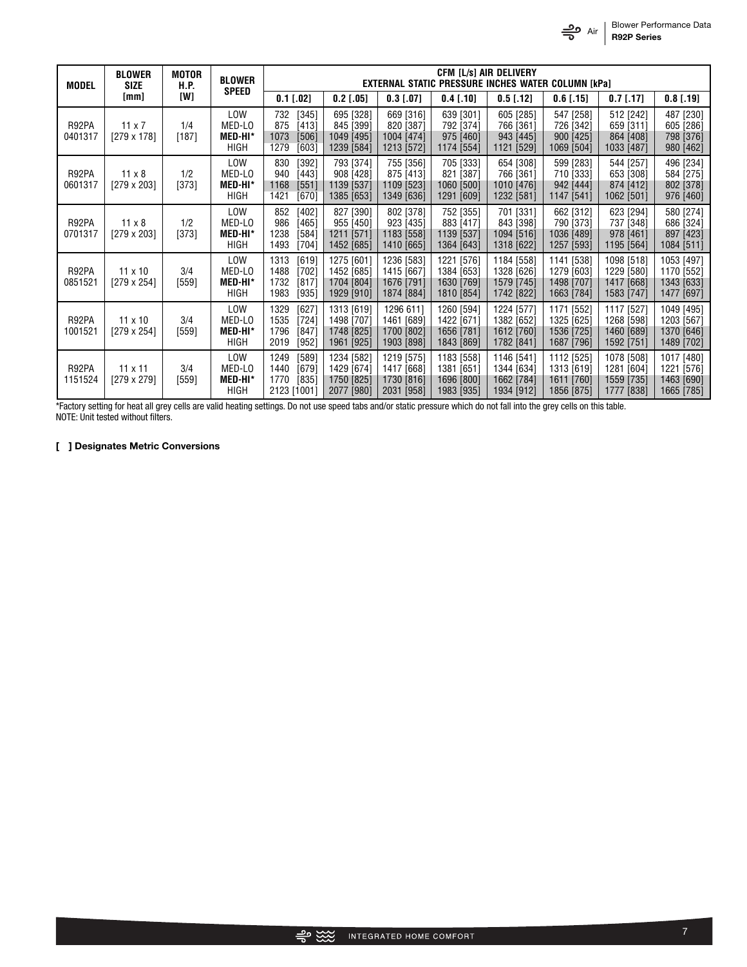| ۰. |
|----|
|    |

|                  | <b>BLOWER</b>                        | <b>MOTOR</b>   |                                         |                                                                  |                                                           |                                                      |                                                      | <b>CFM [L/s] AIR DELIVERY</b>                        |                                                      |                                                      |                                                      |
|------------------|--------------------------------------|----------------|-----------------------------------------|------------------------------------------------------------------|-----------------------------------------------------------|------------------------------------------------------|------------------------------------------------------|------------------------------------------------------|------------------------------------------------------|------------------------------------------------------|------------------------------------------------------|
| <b>MODEL</b>     | <b>SIZE</b>                          | H.P.           | <b>BLOWER</b><br><b>SPEED</b>           |                                                                  | <b>EXTERNAL STATIC PRESSURE INCHES WATER COLUMN [kPa]</b> |                                                      |                                                      |                                                      |                                                      |                                                      |                                                      |
|                  | [mm]                                 | [W]            |                                         | $0.1$ [.02]                                                      | $0.2$ [.05]                                               | $0.3$ [.07]                                          | $0.4$ [.10]                                          | $0.5$ [.12]                                          | $0.6$ [.15]                                          | $0.7$ [.17]                                          | $0.8$ [.19]                                          |
| R92PA<br>0401317 | $11 \times 7$<br>$[279 \times 178]$  | 1/4<br>$[187]$ | LOW<br>MED-LO<br>MED-HI*<br><b>HIGH</b> | [345]<br>732<br>875<br>[413]<br>1073<br>[506]<br>1279<br>[603]   | 695 [328]<br>845 [399]<br>1049 [495]<br>1239 [584]        | 669 [316]<br>820 [387]<br>1004 [474]<br>1213 [572]   | 639 [301]<br>792 [374]<br>975 [460]<br>1174 [554]    | 605 [285]<br>766 [361]<br>943 [445]<br>1121 [529]    | 547 [258]<br>726 [342]<br>900 [425]<br>1069 [504]    | 512 [242]<br>659 [311]<br>864 [408]<br>1033 [487]    | 487 [230]<br>605 [286]<br>798 [376]<br>980 [462]     |
| R92PA<br>0601317 | $11 \times 8$<br>$[279 \times 203]$  | 1/2<br>[373]   | LOW<br>MED-LO<br>MED-HI*<br><b>HIGH</b> | [392]<br>830<br>940<br>[443]<br>1168<br>[551]<br>1421<br>$[670]$ | 793 [374]<br>908 [428]<br>1139 [537]<br>1385 [653]        | 755 [356]<br>875 [413]<br>1109 [523]<br>1349 [636]   | 705 [333]<br>821 [387]<br>1060 [500]<br>1291 [609]   | 654 [308]<br>766 [361]<br>1010 [476]<br>1232 [581]   | 599 [283]<br>710 [333]<br>942 [444]<br>1147 [541]    | 544 [257]<br>653 [308]<br>874 [412]<br>1062 [501]    | 496 [234]<br>584 [275]<br>802 [378]<br>976 [460]     |
| R92PA<br>0701317 | $11 \times 8$<br>$[279 \times 203]$  | 1/2<br>$[373]$ | LOW<br>MED-LO<br>MED-HI*<br><b>HIGH</b> | 852<br>[402]<br>986<br>[465]<br>1238<br>[584]<br>1493<br>$[704]$ | 827 [390]<br>955 [450]<br>1211 [571]<br>1452 [685]        | 802 [378]<br>923 [435]<br>1183 [558]<br>1410 [665]   | 752 [355]<br>883 [417]<br>1139 [537]<br>1364 [643]   | 701 [331]<br>843 [398]<br>1094 [516]<br>1318 [622]   | 662 [312]<br>790 [373]<br>1036 [489]<br>1257 [593]   | 623 [294]<br>737 [348]<br>978 [461]<br>1195 [564]    | 580 [274]<br>686 [324]<br>897 [423]<br>1084 [511]    |
| R92PA<br>0851521 | $11 \times 10$<br>$[279 \times 254]$ | 3/4<br>[559]   | LOW<br>MED-LO<br>MED-HI*<br><b>HIGH</b> | 1313<br>[619]<br>1488<br>[702]<br>1732<br>[817]<br>1983<br>[935] | 1275 [601]<br>1452 [685]<br>1704 [804]<br>1929 [910]      | 1236 [583]<br>1415 [667]<br>1676 [791]<br>1874 [884] | 1221 [576]<br>1384 [653]<br>1630 [769]<br>1810 [854] | 1184 [558]<br>1328 [626]<br>1579 [745]<br>1742 [822] | 1141 [538]<br>1279 [603]<br>1498 [707]<br>1663 [784] | 1098 [518]<br>1229 [580]<br>1417 [668]<br>1583 [747] | 1053 [497]<br>1170 [552]<br>1343 [633]<br>1477 [697] |
| R92PA<br>1001521 | $11 \times 10$<br>$[279 \times 254]$ | 3/4<br>$[559]$ | LOW<br>MED-LO<br>MED-HI*<br><b>HIGH</b> | 1329<br>[627]<br>1535<br>[724]<br>[847]<br>1796<br>2019<br>[952] | 1313 [619]<br>1498 [707]<br>1748 [825]<br>1961 [925]      | 1296 611]<br>1461 [689]<br>1700 [802]<br>1903 [898]  | 1260 [594]<br>1422 [671]<br>1656 [781]<br>1843 [869] | 1224 [577]<br>1382 [652]<br>1612 [760]<br>1782 [841] | 1171 [552]<br>1325 [625]<br>1536 [725]<br>1687 [796] | 1117 [527]<br>1268 [598]<br>1460 [689]<br>1592 [751] | 1049 [495]<br>1203 [567]<br>1370 [646]<br>1489 [702] |
| R92PA<br>1151524 | $11 \times 11$<br>$[279 \times 279]$ | 3/4<br>[559]   | LOW<br>MED-LO<br>MED-HI*<br><b>HIGH</b> | 1249<br>[589]<br>1440<br>[679]<br>1770<br>[835]<br>2123 [1001]   | 1234 [582]<br>1429 [674]<br>1750 [825]<br>2077 [980]      | 1219 [575]<br>1417 [668]<br>1730 [816]<br>2031 [958] | 1183 [558]<br>1381 [651]<br>1696 [800]<br>1983 [935] | 1146 [541]<br>1344 [634]<br>1662 [784]<br>1934 [912] | 1112 [525]<br>1313 [619]<br>1611 [760]<br>1856 [875] | 1078 [508]<br>1281 [604]<br>1559 [735]<br>1777 [838] | 1017 [480]<br>1221 [576]<br>1463 [690]<br>1665 [785] |

\*Factory setting for heat all grey cells are valid heating settings. Do not use speed tabs and/or static pressure which do not fall into the grey cells on this table. NOTE: Unit tested without filters.

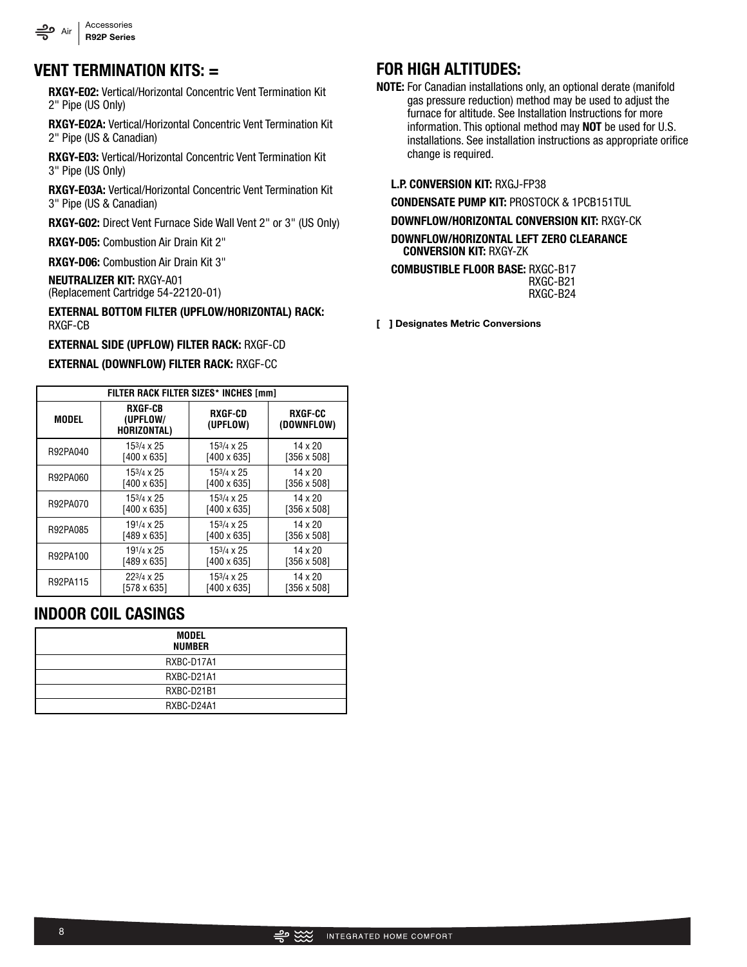

## **VENT TERMINATION KITS: =**

**RXGY-E02:** Vertical/Horizontal Concentric Vent Termination Kit 2" Pipe (US Only)

**RXGY-E02A:** Vertical/Horizontal Concentric Vent Termination Kit 2" Pipe (US & Canadian)

**RXGY-E03:** Vertical/Horizontal Concentric Vent Termination Kit 3" Pipe (US Only)

**RXGY-E03A:** Vertical/Horizontal Concentric Vent Termination Kit 3" Pipe (US & Canadian)

**RXGY-G02:** Direct Vent Furnace Side Wall Vent 2" or 3" (US Only)

**RXGY-D05:** Combustion Air Drain Kit 2"

**RXGY-D06:** Combustion Air Drain Kit 3"

**NEUTRALIZER KIT:** RXGY-A01 (Replacement Cartridge 54-22120-01)

**EXTERNAL BOTTOM FILTER (UPFLOW/HORIZONTAL) RACK:** RXGF-CB

**EXTERNAL SIDE (UPFLOW) FILTER RACK:** RXGF-CD

### **EXTERNAL (DOWNFLOW) FILTER RACK:** RXGF-CC

| <b>FILTER RACK FILTER SIZES* INCHES [mm]</b> |                                           |                            |                       |  |  |  |  |
|----------------------------------------------|-------------------------------------------|----------------------------|-----------------------|--|--|--|--|
| <b>MODEL</b>                                 | <b>RXGF-CB</b><br>(UPFLOW/<br>HORIZONTAL) | <b>RXGF-CD</b><br>(UPFLOW) | RXGF-CC<br>(DOWNFLOW) |  |  |  |  |
| R92PA040                                     | $15^{3/4} \times 25$                      | 153/4 x 25                 | 14 x 20               |  |  |  |  |
|                                              | $[400 \times 635]$                        | $[400 \times 635]$         | [356 x 508]           |  |  |  |  |
| R92PA060                                     | $15^{3}/4 \times 25$                      | $15^{3}/4 \times 25$       | $14 \times 20$        |  |  |  |  |
|                                              | $[400 \times 635]$                        | $[400 \times 635]$         | [356 x 508]           |  |  |  |  |
| R92PA070                                     | $15^{3}/4 \times 25$                      | $15^{3}/4 \times 25$       | $14 \times 20$        |  |  |  |  |
|                                              | $[400 \times 635]$                        | $[400 \times 635]$         | [356 x 508]           |  |  |  |  |
| R92PA085                                     | $19^{1/4}$ x 25                           | $15^{3}/4 \times 25$       | $14 \times 20$        |  |  |  |  |
|                                              | $[489 \times 635]$                        | $[400 \times 635]$         | [356 x 508]           |  |  |  |  |
| R92PA100                                     | $19^{1/4} \times 25$                      | $15^{3}/4 \times 25$       | 14 x 20               |  |  |  |  |
|                                              | $[489 \times 635]$                        | $[400 \times 635]$         | [356 x 508]           |  |  |  |  |
| R92PA115                                     | $22^{3/4} \times 25$                      | $15^{3}/4 \times 25$       | 14 x 20               |  |  |  |  |
|                                              | [578 x 635]                               | $[400 \times 635]$         | [356 x 508]           |  |  |  |  |

### **INDOOR COIL CASINGS**

| <b>MODEL</b><br><b>NUMBER</b> |
|-------------------------------|
| RXBC-D17A1                    |
| RXBC-D21A1                    |
| RXBC-D21B1                    |
| RXBC-D24A1                    |

## **FOR HIGH ALTITUDES:**

**NOTE:** For Canadian installations only, an optional derate (manifold gas pressure reduction) method may be used to adjust the furnace for altitude. See Installation Instructions for more information. This optional method may **NOT** be used for U.S. installations. See installation instructions as appropriate orifice change is required.

### **L.P. CONVERSION KIT:** RXGJ-FP38

**CONDENSATE PUMP KIT:** PROSTOCK & 1PCB151TUL

**DOWNFLOW/HORIZONTAL CONVERSION KIT:** RXGY-CK

**DOWNFLOW/HORIZONTAL LEFT ZERO CLEARANCE CONVERSION KIT:** RXGY-ZK

**COMBUSTIBLE FLOOR BASE:** RXGC-B17 RXGC-B21 RXGC-B24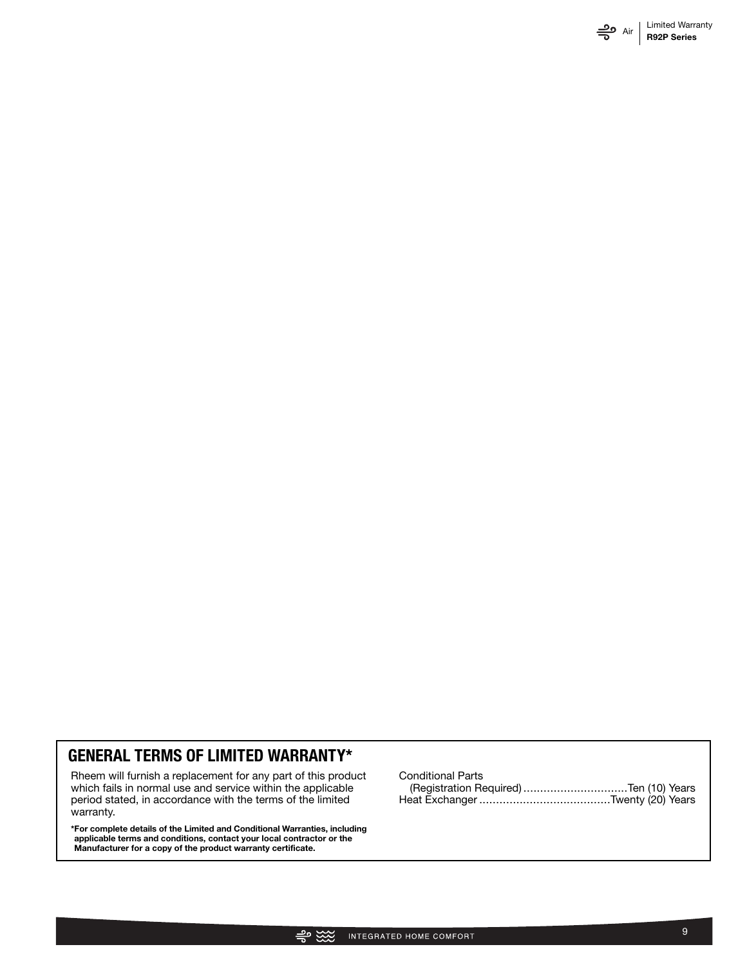

## **GENERAL TERMS OF LIMITED WARRANTY\***

Rheem will furnish a replacement for any part of this product which fails in normal use and service within the applicable period stated, in accordance with the terms of the limited warranty.

**\*For complete details of the Limited and Conditional Warranties, including applicable terms and conditions, contact your local contractor or the Manufacturer for a copy of the product warranty certificate.**

| <b>Conditional Parts</b>               |  |
|----------------------------------------|--|
| (Registration Required) Ten (10) Years |  |
|                                        |  |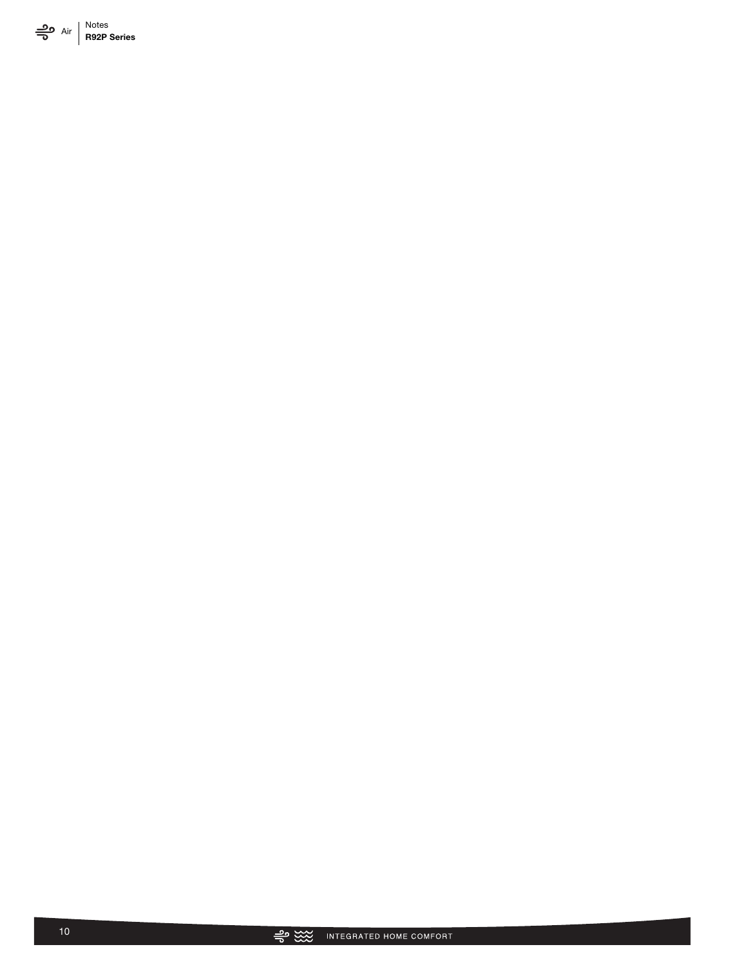Air Notes **R92P Series**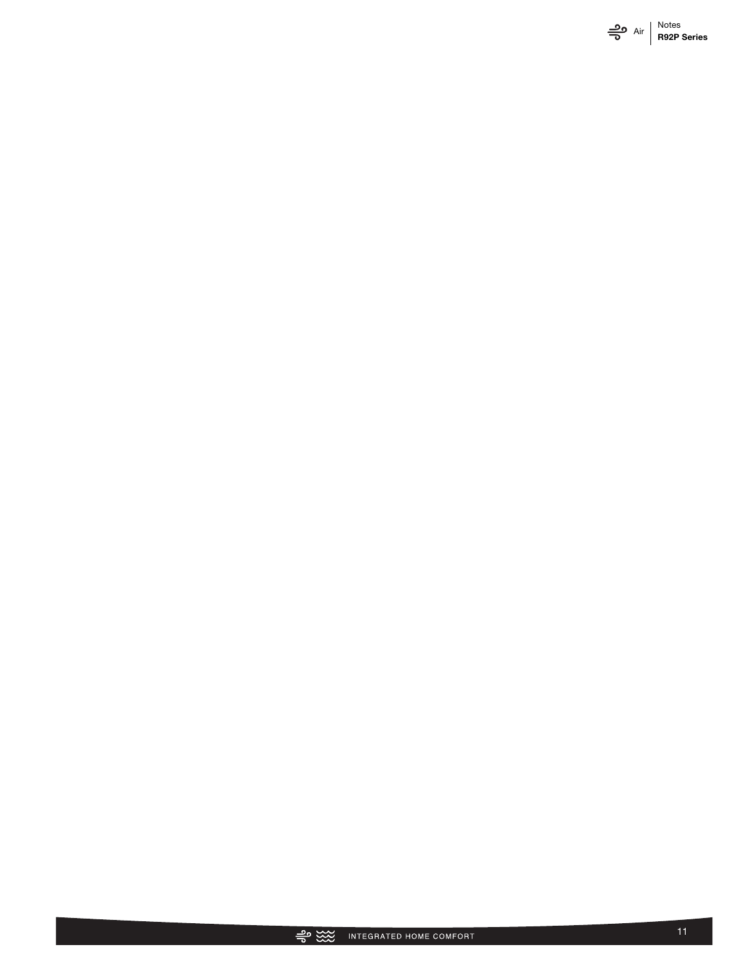